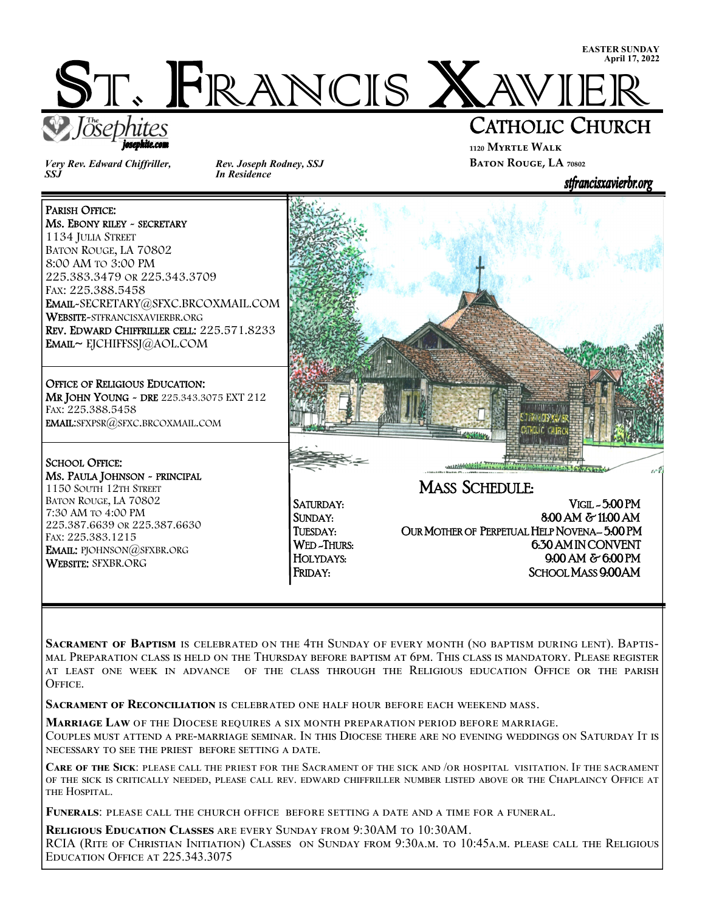

*Very Rev. Edward Chiffriller, SSJ* 

MS. EBONY RILEY - SECRETARY

225.383.3479 OR 225.343.3709

iosephite.com

WEBSITE-STFRANCISXAVIERBR.ORG

EMAIL~ EJCHIFFSSJ@AOL.COM

OFFICE OF RELIGIOUS EDUCATION:

MS. PAULA JOHNSON ~ PRINCIPAL 1150 SOUTH 12TH STREET

225.387.6639 OR 225.387.6630

EMAIL: PJOHNSON@SFXBR.ORG

BATON ROUGE, LA 70802 7:30 AM TO 4:00 PM

FAX: 225.383.1215

WEBSITE: SFXBR.ORG

EMAIL:SFXPSR@SFXC.BRCOXMAIL.COM

EMAIL-SECRETARY@SFXC.BRCOXMAIL.COM

REV. EDWARD CHIFFRILLER CELL: 225.571.8233

MR JOHN YOUNG - DRE 225.343.3075 EXT 212

PARISH OFFICE:

1134 JULIA STREET BATON ROUGE, LA 70802 8:00 AM TO 3:00 PM

FAX: 225.388.5458

FAX: 225.388.5458

SCHOOL OFFICE:

İ

L

í

*Rev. Joseph Rodney, SSJ In Residence* 

## CATHOLIC CHURCH **₁₁₂₀ Myrtle Walk**

**BATON ROUGE, LA** 70802



HOLYDAYS: 9:00 AM & 6:00 PM FRIDAY: SCHOOL MASS 9:00 AM

SACRAMENT OF BAPTISM IS CELEBRATED ON THE 4TH SUNDAY OF EVERY MONTH (NO BAPTISM DURING LENT). BAPTIS-MAL PREPARATION CLASS IS HELD ON THE THURSDAY BEFORE BAPTISM AT 6PM. THIS CLASS IS MANDATORY. PLEASE REGISTER AT LEAST ONE WEEK IN ADVANCE OF THE CLASS THROUGH THE RELIGIOUS EDUCATION OFFICE OR THE PARISH OFFICE.

**SACRAMENT OF RECONCILIATION IS CELEBRATED ONE HALF HOUR BEFORE EACH WEEKEND MASS.** 

**MARRIAGE LAW OF THE DIOCESE REQUIRES A SIX MONTH PREPARATION PERIOD BEFORE MARRIAGE.** 

COUPLES MUST ATTEND A PRE-MARRIAGE SEMINAR. IN THIS DIOCESE THERE ARE NO EVENING WEDDINGS ON SATURDAY IT IS NECESSARY TO SEE THE PRIEST BEFORE SETTING A DATE.

**CARE OF THE SICK: PLEASE** CALL THE PRIEST FOR THE SACRAMENT OF THE SICK AND /OR HOSPITAL VISITATION. IF THE SACRAMENT OF THE SICK IS CRITICALLY NEEDED, PLEASE CALL REV. EDWARD CHIFFRILLER NUMBER LISTED ABOVE OR THE CHAPLAINCY OFFICE AT THE HOSPITAL.

FUNERALS: PLEASE CALL THE CHURCH OFFICE BEFORE SETTING A DATE AND A TIME FOR A FUNERAL.

**RELIGIOUS EDUCATION CLASSES** ARE EVERY SUNDAY FROM 9:30AM TO 10:30AM. RCIA (RITE OF CHRISTIAN INITIATION) CLASSES ON SUNDAY FROM 9:30A.M. TO 10:45A.M. PLEASE CALL THE RELIGIOUS EDUCATION OFFICE AT 225.343.3075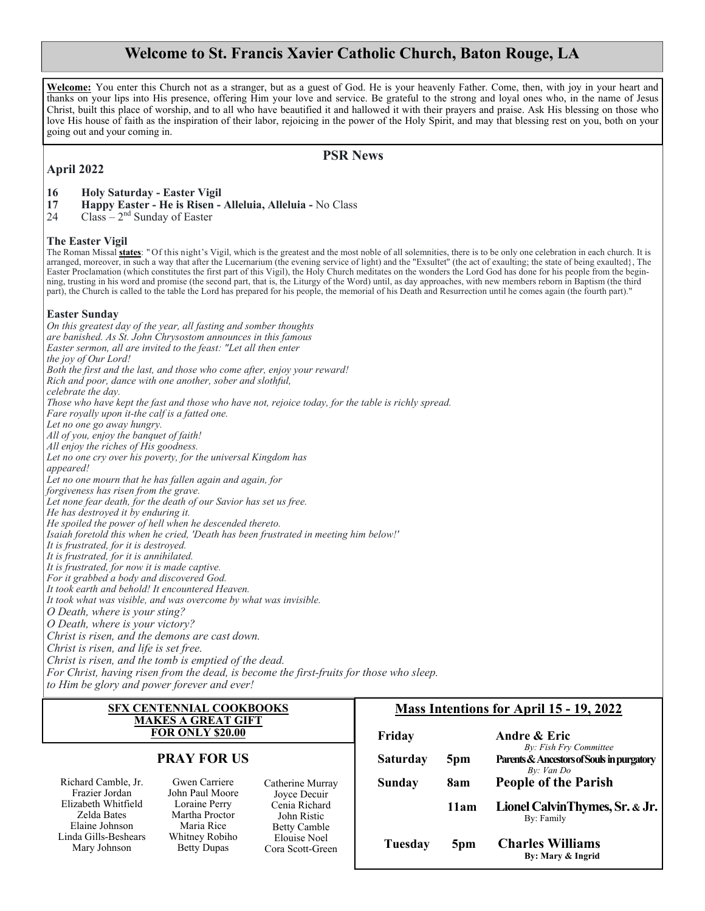### **Welcome to St. Francis Xavier Catholic Church, Baton Rouge, LA**

**Welcome:** You enter this Church not as a stranger, but as a guest of God. He is your heavenly Father. Come, then, with joy in your heart and thanks on your lips into His presence, offering Him your love and service. Be grateful to the strong and loyal ones who, in the name of Jesus Christ, built this place of worship, and to all who have beautified it and hallowed it with their prayers and praise. Ask His blessing on those who love His house of faith as the inspiration of their labor, rejoicing in the power of the Holy Spirit, and may that blessing rest on you, both on your going out and your coming in.

#### **PSR News**

#### **April 2022**

#### **16 Holy Saturday - Easter Vigil**

- **17 Happy Easter He is Risen Alleluia, Alleluia** No Class
- $24$  Class  $2<sup>nd</sup>$  Sunday of Easter

#### **The Easter Vigil**

The Roman Missal **states**: " Of this night's Vigil, which is the greatest and the most noble of all solemnities, there is to be only one celebration in each church. It is arranged, moreover, in such a way that after the Lucernarium (the evening service of light) and the "Exsultet" (the act of exaulting; the state of being exaulted}, The Easter Proclamation (which constitutes the first part of this Vigil), the Holy Church meditates on the wonders the Lord God has done for his people from the beginning, trusting in his word and promise (the second part, that is, the Liturgy of the Word) until, as day approaches, with new members reborn in Baptism (the third part), the Church is called to the table the Lord has prepared for his people, the memorial of his Death and Resurrection until he comes again (the fourth part)."

#### **Easter Sunday**

*On this greatest day of the year, all fasting and somber thoughts are banished. As St. John Chrysostom announces in this famous Easter sermon, all are invited to the feast: "Let all then enter the joy of Our Lord! Both the first and the last, and those who come after, enjoy your reward! Rich and poor, dance with one another, sober and slothful, celebrate the day. Those who have kept the fast and those who have not, rejoice today, for the table is richly spread. Fare royally upon it-the calf is a fatted one. Let no one go away hungry. All of you, enjoy the banquet of faith! All enjoy the riches of His goodness. Let no one cry over his poverty, for the universal Kingdom has appeared! Let no one mourn that he has fallen again and again, for forgiveness has risen from the grave. Let none fear death, for the death of our Savior has set us free. He has destroyed it by enduring it. He spoiled the power of hell when he descended thereto. Isaiah foretold this when he cried, 'Death has been frustrated in meeting him below!' It is frustrated, for it is destroyed. It is frustrated, for it is annihilated. It is frustrated, for now it is made captive. For it grabbed a body and discovered God. It took earth and behold! It encountered Heaven. It took what was visible, and was overcome by what was invisible. O Death, where is your sting? O Death, where is your victory? Christ is risen, and the demons are cast down. Christ is risen, and life is set free. Christ is risen, and the tomb is emptied of the dead. For Christ, having risen from the dead, is become the first-fruits for those who sleep.* 

*to Him be glory and power forever and ever!* 

#### **SFX CENTENNIAL COOKBOOKS MAKES A GREAT GIFT FOR ONLY \$20.00**

#### **PRAY FOR US**

Richard Camble, Jr. Frazier Jordan Elizabeth Whitfield Zelda Bates Elaine Johnson Linda Gills-Beshears Mary Johnson

Gwen Carriere John Paul Moore Loraine Perry Martha Proctor Maria Rice Whitney Robiho Betty Dupas

Catherine Murray Joyce Decuir Cenia Richard John Ristic Betty Camble Elouise Noel Cora Scott-Green

#### **Mass Intentions for April 15 - 19, 2022**

| Friday          |                 | Andre & Eric                                                                      |
|-----------------|-----------------|-----------------------------------------------------------------------------------|
| <b>Saturday</b> | 5 <sub>pm</sub> | By: Fish Fry Committee<br>Parents & Ancestors of Souls in purgatory<br>By: Van Do |
| Sunday          | 8am             | <b>People of the Parish</b>                                                       |
|                 | 11am            | Lionel CalvinThymes, Sr. & Jr.<br>By: Family                                      |
| Tuesday         | 5pm             | <b>Charles Williams</b><br>By: Mary & Ingrid                                      |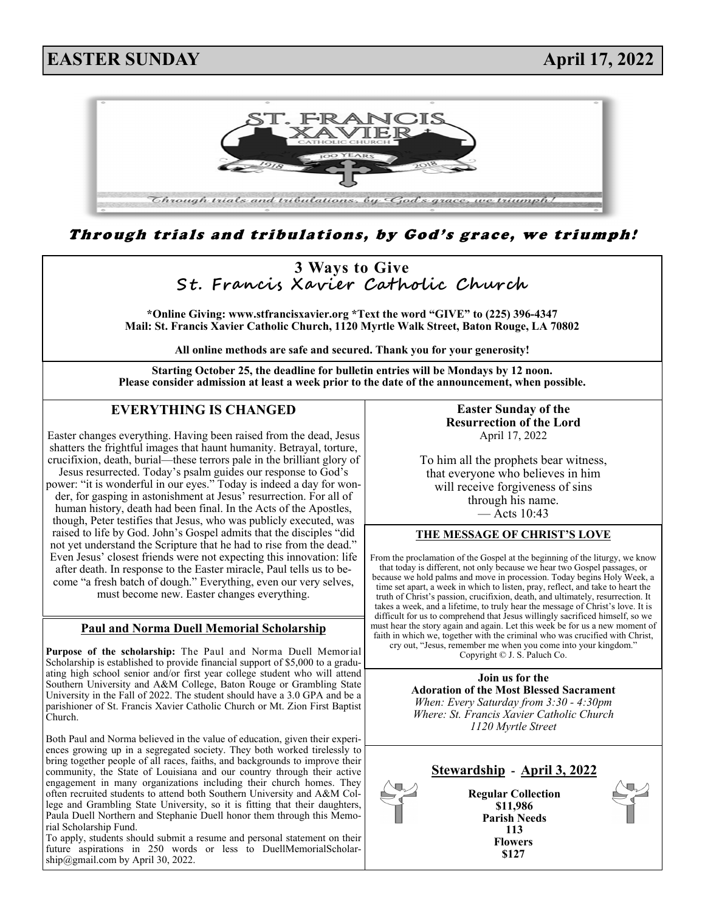## **EASTER SUNDAY April 17, 2022**



Through trials and tribulations, by God's grace, we triumph!



Scholarship is established to provide financial support of \$5,000 to a graduating high school senior and/or first year college student who will attend Southern University and A&M College, Baton Rouge or Grambling State University in the Fall of 2022. The student should have a 3.0 GPA and be a parishioner of St. Francis Xavier Catholic Church or Mt. Zion First Baptist

Both Paul and Norma believed in the value of education, given their experiences growing up in a segregated society. They both worked tirelessly to bring together people of all races, faiths, and backgrounds to improve their community, the State of Louisiana and our country through their active engagement in many organizations including their church homes. They often recruited students to attend both Southern University and A&M College and Grambling State University, so it is fitting that their daughters, Paula Duell Northern and Stephanie Duell honor them through this Memo-

To apply, students should submit a resume and personal statement on their future aspirations in 250 words or less to DuellMemorialScholar-

Church.

rial Scholarship Fund.

ship@gmail.com by April 30, 2022.

Copyright © J. S. Paluch Co.

**Join us for the Adoration of the Most Blessed Sacrament** *When: Every Saturday from 3:30 - 4:30pm Where: St. Francis Xavier Catholic Church 1120 Myrtle Street*